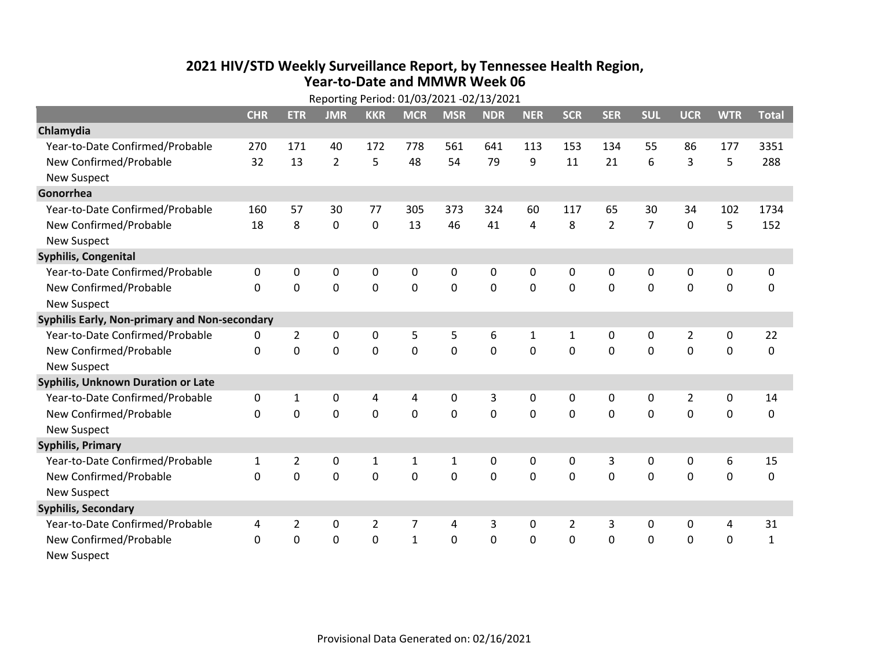## **2021 HIV /STD Weekly Surveillance Report, by Tennessee Health Region, Year‐to‐Date and MMWR Week 06**  $R = R^2 + 1.24/22/2024.22/42/2024$

|                                               | Reporting Period: 01/03/2021 -02/13/2021 |                |                |                |              |             |            |              |                |                |                |                |             |              |
|-----------------------------------------------|------------------------------------------|----------------|----------------|----------------|--------------|-------------|------------|--------------|----------------|----------------|----------------|----------------|-------------|--------------|
|                                               | <b>CHR</b>                               | <b>ETR</b>     | <b>JMR</b>     | <b>KKR</b>     | <b>MCR</b>   | <b>MSR</b>  | <b>NDR</b> | <b>NER</b>   | <b>SCR</b>     | <b>SER</b>     | <b>SUL</b>     | <b>UCR</b>     | <b>WTR</b>  | <b>Total</b> |
| Chlamydia                                     |                                          |                |                |                |              |             |            |              |                |                |                |                |             |              |
| Year-to-Date Confirmed/Probable               | 270                                      | 171            | 40             | 172            | 778          | 561         | 641        | 113          | 153            | 134            | 55             | 86             | 177         | 3351         |
| New Confirmed/Probable                        | 32                                       | 13             | $\overline{2}$ | 5              | 48           | 54          | 79         | 9            | 11             | 21             | 6              | 3              | 5           | 288          |
| <b>New Suspect</b>                            |                                          |                |                |                |              |             |            |              |                |                |                |                |             |              |
| Gonorrhea                                     |                                          |                |                |                |              |             |            |              |                |                |                |                |             |              |
| Year-to-Date Confirmed/Probable               | 160                                      | 57             | 30             | 77             | 305          | 373         | 324        | 60           | 117            | 65             | 30             | 34             | 102         | 1734         |
| New Confirmed/Probable                        | 18                                       | 8              | 0              | 0              | 13           | 46          | 41         | 4            | 8              | $\overline{2}$ | $\overline{7}$ | $\mathbf 0$    | 5           | 152          |
| <b>New Suspect</b>                            |                                          |                |                |                |              |             |            |              |                |                |                |                |             |              |
| <b>Syphilis, Congenital</b>                   |                                          |                |                |                |              |             |            |              |                |                |                |                |             |              |
| Year-to-Date Confirmed/Probable               | 0                                        | 0              | 0              | 0              | 0            | 0           | 0          | 0            | $\mathbf{0}$   | 0              | 0              | 0              | 0           | 0            |
| New Confirmed/Probable                        | $\Omega$                                 | 0              | 0              | 0              | $\mathbf 0$  | $\mathbf 0$ | 0          | $\Omega$     | $\Omega$       | $\mathbf 0$    | $\mathbf 0$    | $\mathbf 0$    | $\mathbf 0$ | 0            |
| <b>New Suspect</b>                            |                                          |                |                |                |              |             |            |              |                |                |                |                |             |              |
| Syphilis Early, Non-primary and Non-secondary |                                          |                |                |                |              |             |            |              |                |                |                |                |             |              |
| Year-to-Date Confirmed/Probable               | 0                                        | $\overline{2}$ | 0              | 0              | 5            | 5           | 6          | 1            | $\mathbf{1}$   | 0              | 0              | $\overline{2}$ | 0           | 22           |
| New Confirmed/Probable                        | $\Omega$                                 | $\mathbf 0$    | 0              | 0              | $\mathbf 0$  | $\mathbf 0$ | $\Omega$   | $\Omega$     | $\Omega$       | $\mathbf 0$    | 0              | 0              | $\mathbf 0$ | 0            |
| <b>New Suspect</b>                            |                                          |                |                |                |              |             |            |              |                |                |                |                |             |              |
| Syphilis, Unknown Duration or Late            |                                          |                |                |                |              |             |            |              |                |                |                |                |             |              |
| Year-to-Date Confirmed/Probable               | 0                                        | 1              | 0              | 4              | 4            | 0           | 3          | 0            | 0              | $\mathbf{0}$   | 0              | $\overline{2}$ | 0           | 14           |
| New Confirmed/Probable                        | $\Omega$                                 | 0              | 0              | 0              | 0            | $\mathbf 0$ | 0          | $\Omega$     | $\Omega$       | $\Omega$       | $\Omega$       | 0              | $\mathbf 0$ | 0            |
| <b>New Suspect</b>                            |                                          |                |                |                |              |             |            |              |                |                |                |                |             |              |
| <b>Syphilis, Primary</b>                      |                                          |                |                |                |              |             |            |              |                |                |                |                |             |              |
| Year-to-Date Confirmed/Probable               | $\mathbf{1}$                             | $\overline{2}$ | 0              | 1              | $\mathbf{1}$ | 1           | 0          | $\mathbf{0}$ | 0              | 3              | $\mathbf{0}$   | $\mathbf{0}$   | 6           | 15           |
| New Confirmed/Probable                        | $\Omega$                                 | $\Omega$       | $\mathbf 0$    | 0              | $\Omega$     | $\Omega$    | $\Omega$   | $\Omega$     | $\Omega$       | $\mathbf{0}$   | $\Omega$       | $\Omega$       | $\mathbf 0$ | 0            |
| <b>New Suspect</b>                            |                                          |                |                |                |              |             |            |              |                |                |                |                |             |              |
| <b>Syphilis, Secondary</b>                    |                                          |                |                |                |              |             |            |              |                |                |                |                |             |              |
| Year-to-Date Confirmed/Probable               | 4                                        | $\overline{2}$ | 0              | $\overline{2}$ | 7            | 4           | 3          | $\mathbf{0}$ | $\overline{2}$ | 3              | 0              | 0              | 4           | 31           |
| New Confirmed/Probable                        | $\Omega$                                 | $\mathbf 0$    | $\mathbf 0$    | 0              | $\mathbf{1}$ | $\mathbf 0$ | $\Omega$   | $\Omega$     | $\Omega$       | $\mathbf 0$    | $\mathbf 0$    | $\mathbf 0$    | $\mathbf 0$ | $\mathbf{1}$ |
| New Suspect                                   |                                          |                |                |                |              |             |            |              |                |                |                |                |             |              |